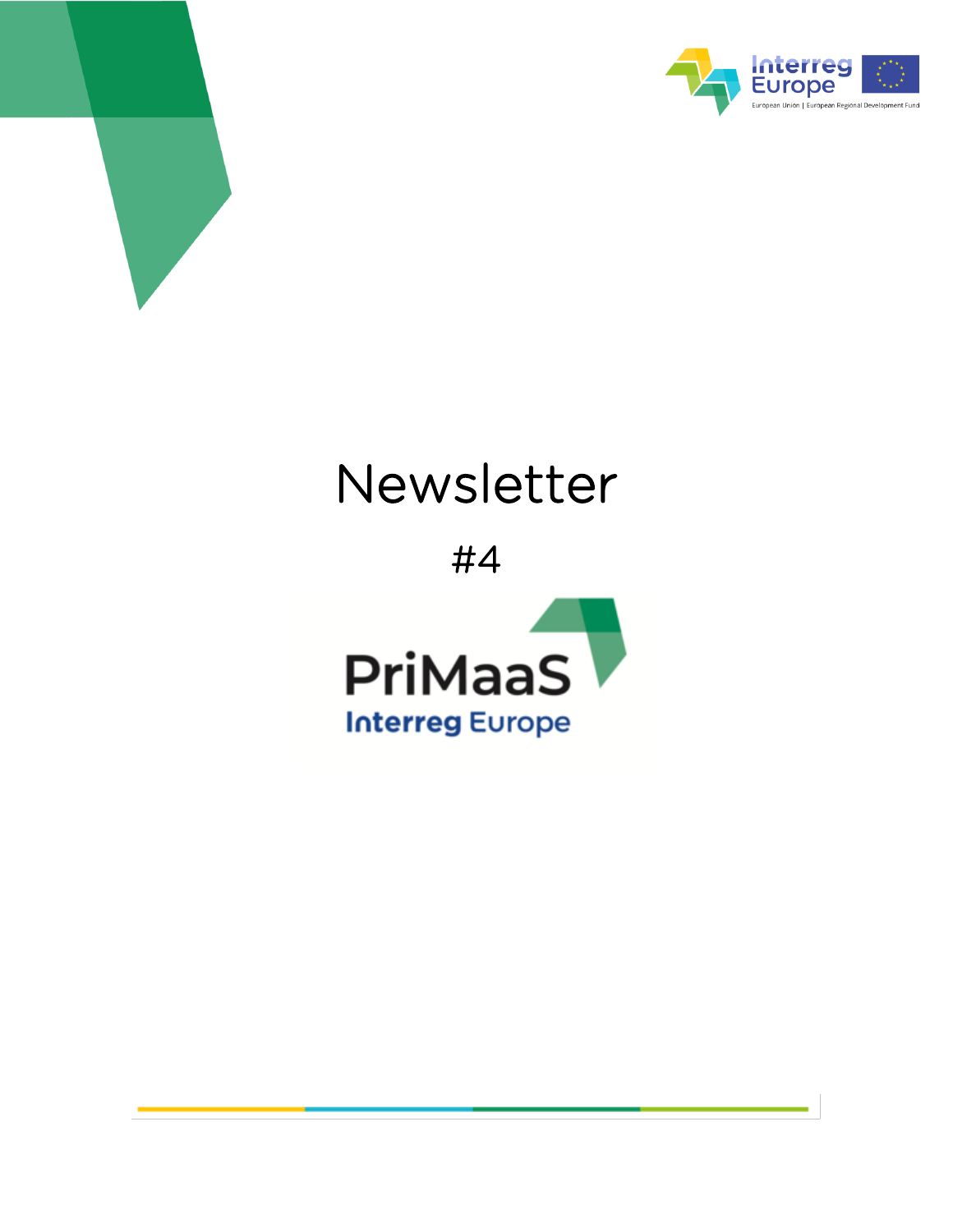



# Newsletter

#4

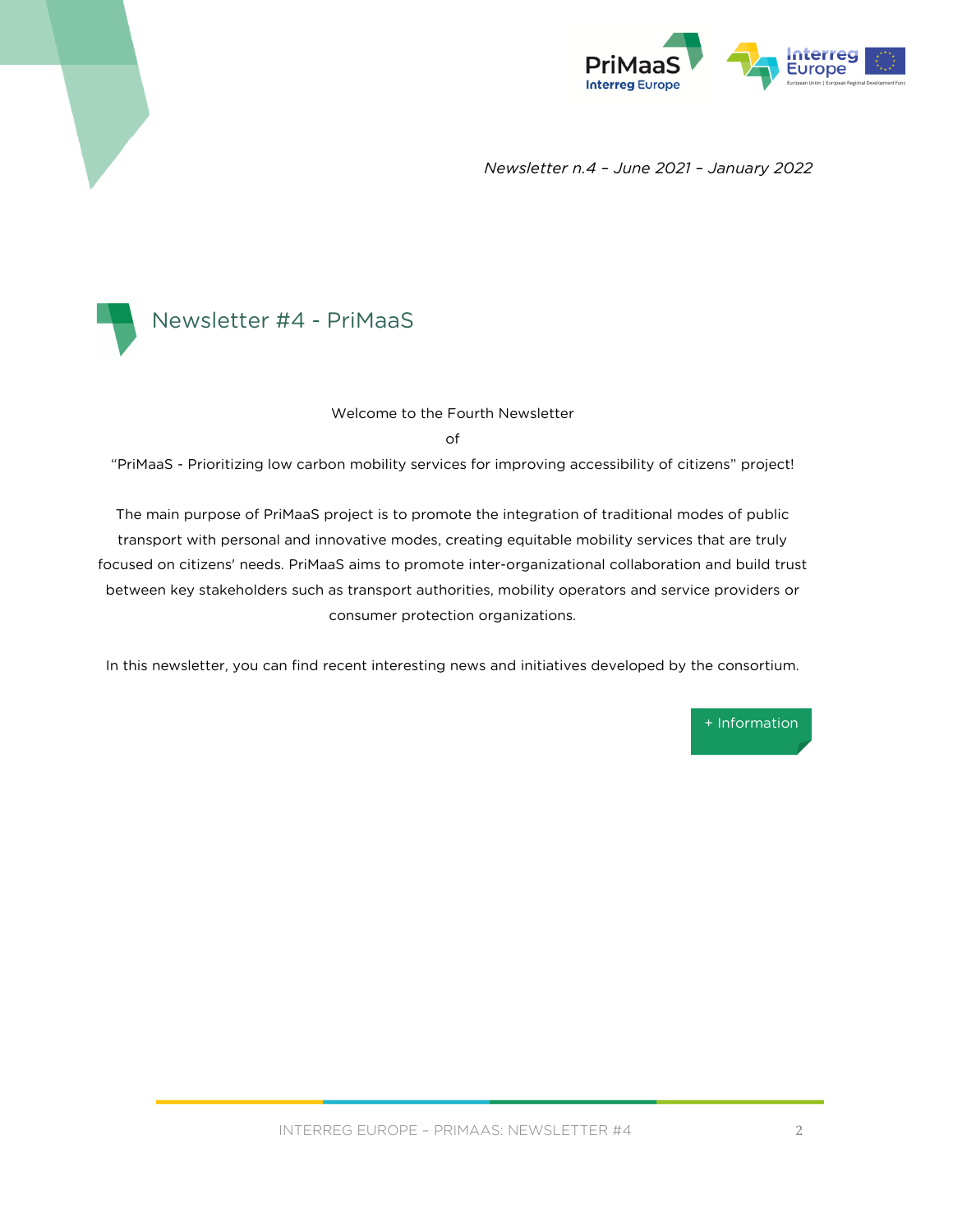

*Newsletter n.4 – June 2021 – January 2022*



#### Welcome to the Fourth Newsletter

of

"PriMaaS - Prioritizing low carbon mobility services for improving accessibility of citizens" project!

The main purpose of PriMaaS project is to promote the integration of traditional modes of public transport with personal and innovative modes, creating equitable mobility services that are truly focused on citizens' needs. PriMaaS aims to promote inter-organizational collaboration and build trust between key stakeholders such as transport authorities, mobility operators and service providers or consumer protection organizations.

In this newsletter, you can find recent interesting news and initiatives developed by the consortium.

[+ Information](https://www.interregeurope.eu/primaas/)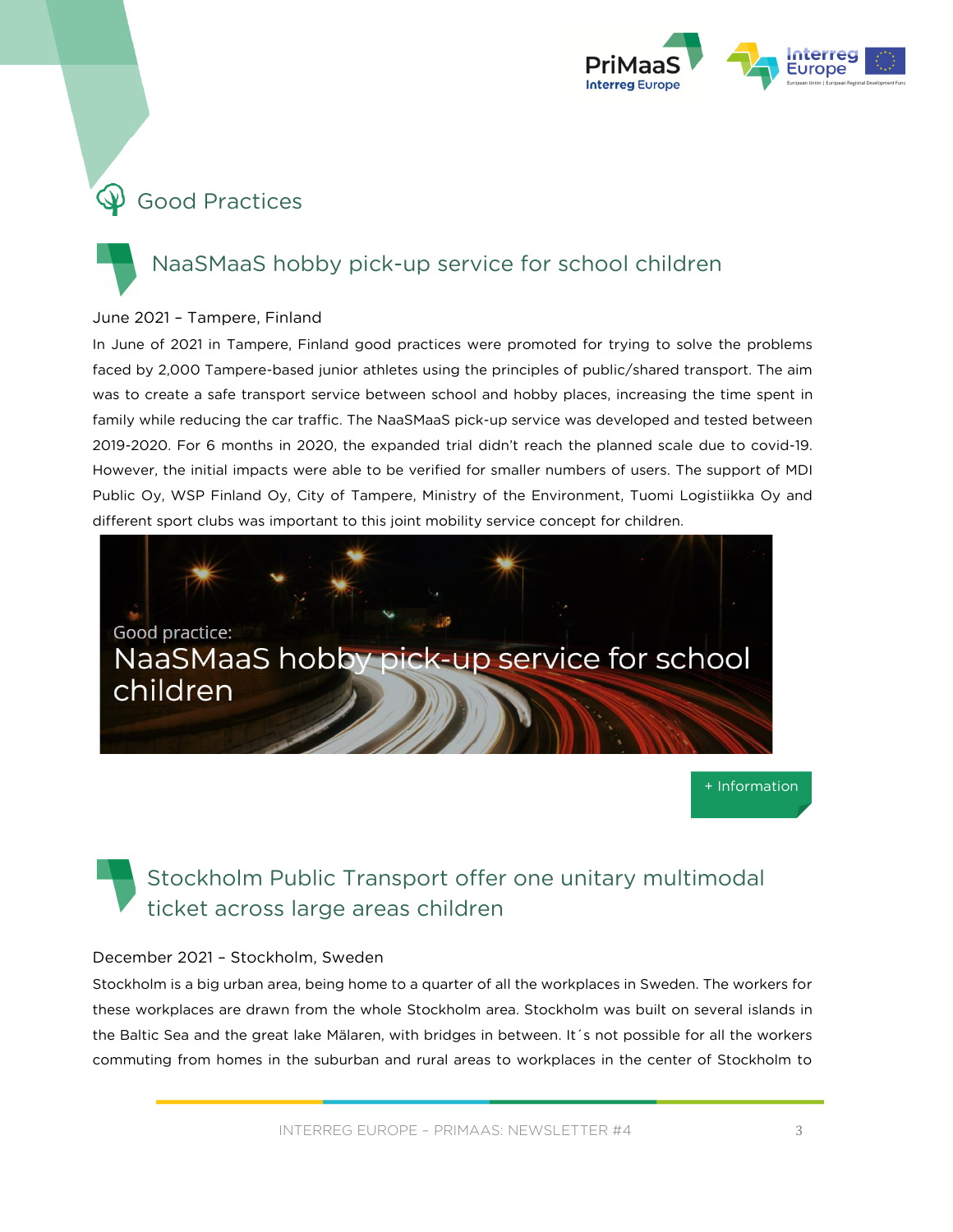

# $\bigcirc$  Good Practices

### NaaSMaaS hobby pick-up service for school children

### June 2021 – Tampere, Finland

In June of 2021 in Tampere, Finland good practices were promoted for trying to solve the problems faced by 2,000 Tampere-based junior athletes using the principles of public/shared transport. The aim was to create a safe transport service between school and hobby places, increasing the time spent in family while reducing the car traffic. The NaaSMaaS pick-up service was developed and tested between 2019-2020. For 6 months in 2020, the expanded trial didn't reach the planned scale due to covid-19. However, the initial impacts were able to be verified for smaller numbers of users. The support of MDI Public Oy, WSP Finland Oy, City of Tampere, Ministry of the Environment, Tuomi Logistiikka Oy and different sport clubs was important to this joint mobility service concept for children.



[+ Information](https://www.interregeurope.eu/policylearning/good-practices/item/5501/naasmaas-hobby-pick-up-service-for-school-children/)

### Stockholm Public Transport offer one unitary multimodal ticket across large areas children

#### December 2021 – Stockholm, Sweden

Stockholm is a big urban area, being home to a quarter of all the workplaces in Sweden. The workers for these workplaces are drawn from the whole Stockholm area. Stockholm was built on several islands in the Baltic Sea and the great lake Mälaren, with bridges in between. It´s not possible for all the workers commuting from homes in the suburban and rural areas to workplaces in the center of Stockholm to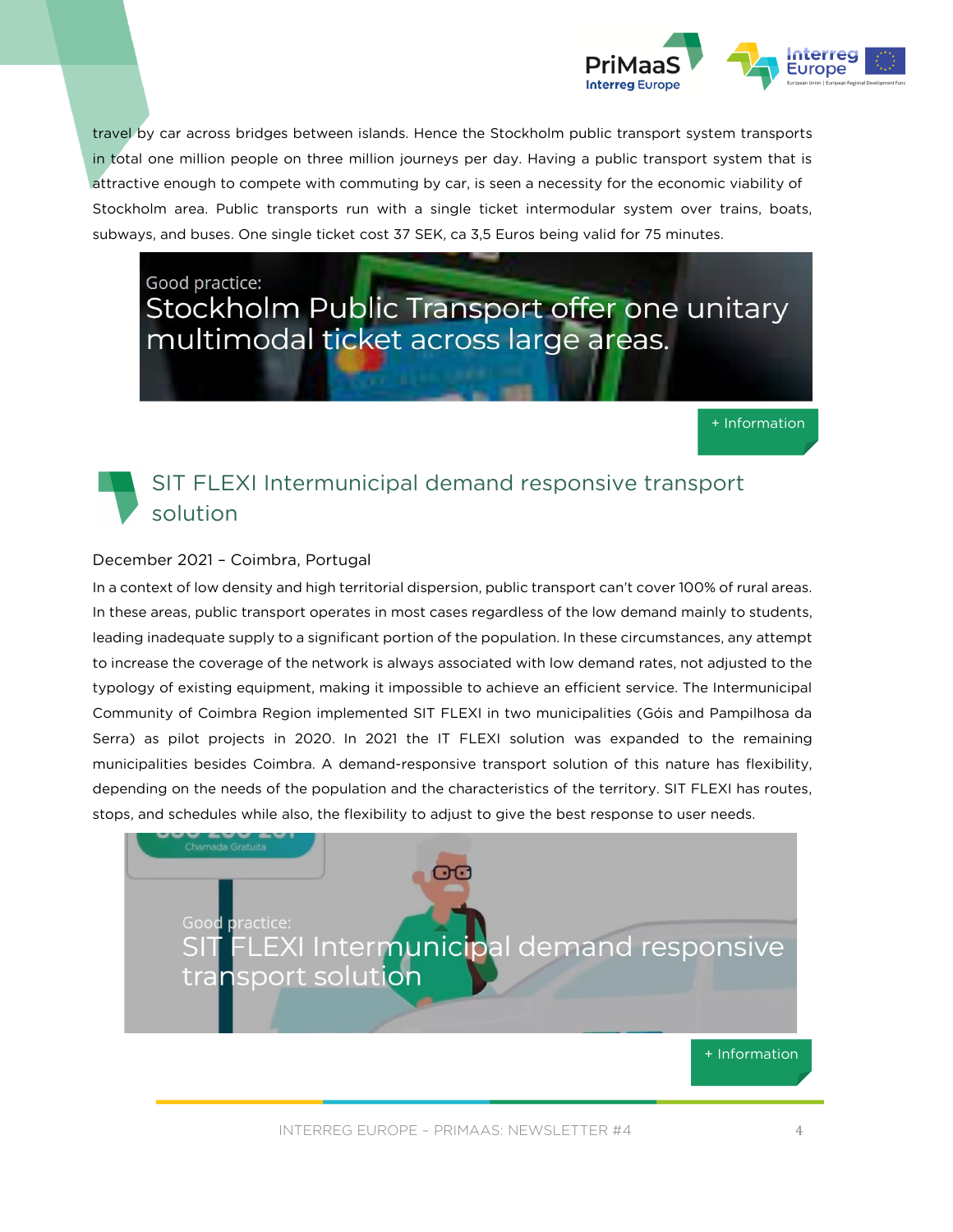

travel by car across bridges between islands. Hence the Stockholm public transport system transports in total one million people on three million journeys per day. Having a public transport system that is attractive enough to compete with commuting by car, is seen a necessity for the economic viability of Stockholm area. Public transports run with a single ticket intermodular system over trains, boats, subways, and buses. One single ticket cost 37 SEK, ca 3,5 Euros being valid for 75 minutes.

Good practice: Stockholm Public Transport offer one unitary multimodal ticket across large areas.

[+ Information](https://www.interregeurope.eu/policylearning/good-practices/item/5973/stockholm-public-transport-offer-one-unitary-multimodal-ticket-across-large-areas/)

### SIT FLEXI Intermunicipal demand responsive transport solution

### December 2021 – Coimbra, Portugal

In a context of low density and high territorial dispersion, public transport can't cover 100% of rural areas. In these areas, public transport operates in most cases regardless of the low demand mainly to students, leading inadequate supply to a significant portion of the population. In these circumstances, any attempt to increase the coverage of the network is always associated with low demand rates, not adjusted to the typology of existing equipment, making it impossible to achieve an efficient service. The Intermunicipal Community of Coimbra Region implemented SIT FLEXI in two municipalities (Góis and Pampilhosa da Serra) as pilot projects in 2020. In 2021 the IT FLEXI solution was expanded to the remaining municipalities besides Coimbra. A demand-responsive transport solution of this nature has flexibility, depending on the needs of the population and the characteristics of the territory. SIT FLEXI has routes, stops, and schedules while also, the flexibility to adjust to give the best response to user needs.

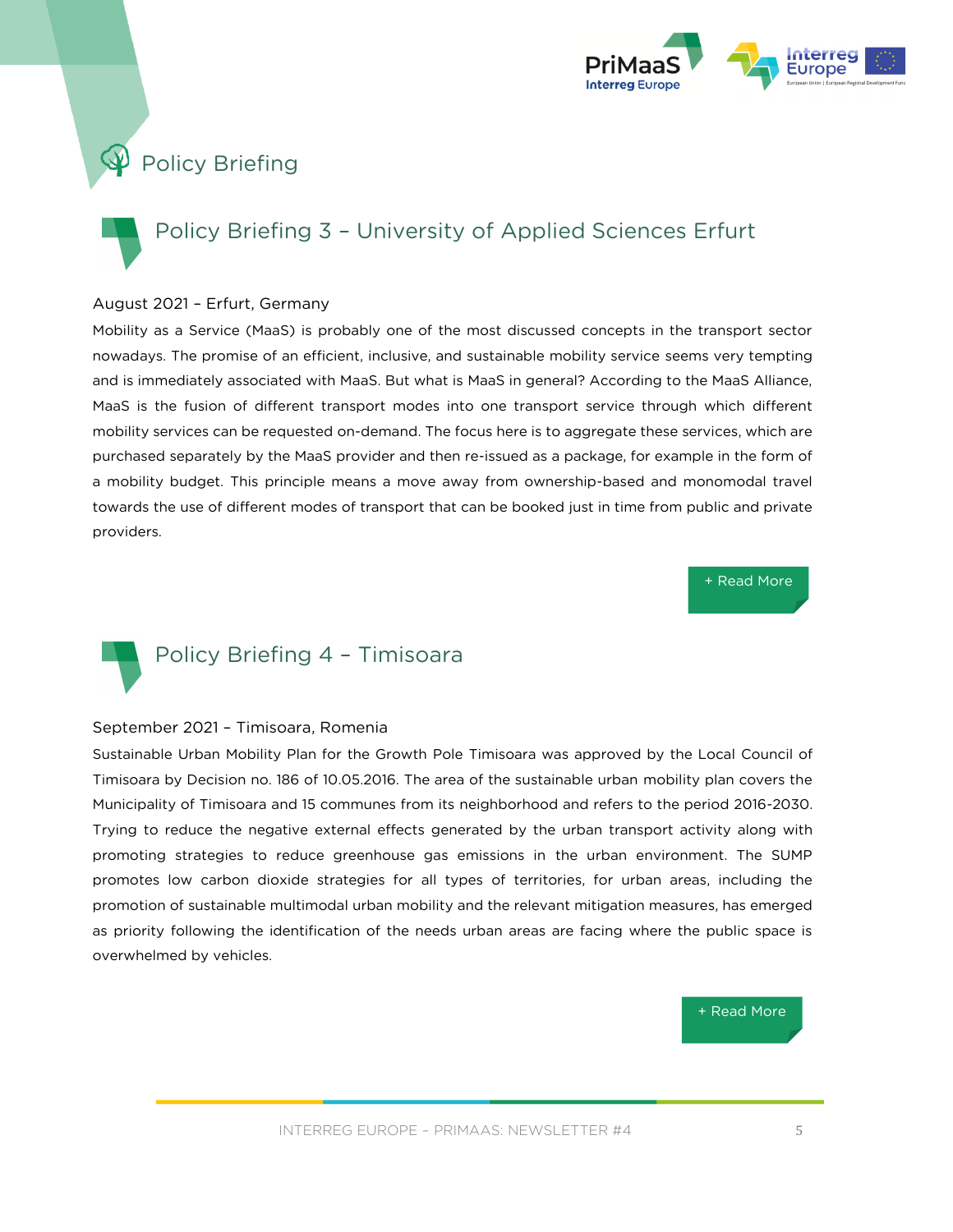

# **Policy Briefing**

# Policy Briefing 3 – University of Applied Sciences Erfurt

#### August 2021 – Erfurt, Germany

Mobility as a Service (MaaS) is probably one of the most discussed concepts in the transport sector nowadays. The promise of an efficient, inclusive, and sustainable mobility service seems very tempting and is immediately associated with MaaS. But what is MaaS in general? According to the MaaS Alliance, MaaS is the fusion of different transport modes into one transport service through which different mobility services can be requested on-demand. The focus here is to aggregate these services, which are purchased separately by the MaaS provider and then re-issued as a package, for example in the form of a mobility budget. This principle means a move away from ownership-based and monomodal travel towards the use of different modes of transport that can be booked just in time from public and private providers.

[+ Read More](https://www.interregeurope.eu/fileadmin/user_upload/tx_tevprojects/library/file_1630402170.pdf)



#### September 2021 – Timisoara, Romenia

Sustainable Urban Mobility Plan for the Growth Pole Timisoara was approved by the Local Council of Timisoara by Decision no. 186 of 10.05.2016. The area of the sustainable urban mobility plan covers the Municipality of Timisoara and 15 communes from its neighborhood and refers to the period 2016-2030. Trying to reduce the negative external effects generated by the urban transport activity along with promoting strategies to reduce greenhouse gas emissions in the urban environment. The SUMP promotes low carbon dioxide strategies for all types of territories, for urban areas, including the promotion of sustainable multimodal urban mobility and the relevant mitigation measures, has emerged as priority following the identification of the needs urban areas are facing where the public space is overwhelmed by vehicles.

[+ Read More](https://www.interregeurope.eu/fileadmin/user_upload/tx_tevprojects/library/file_1632484429.pdf)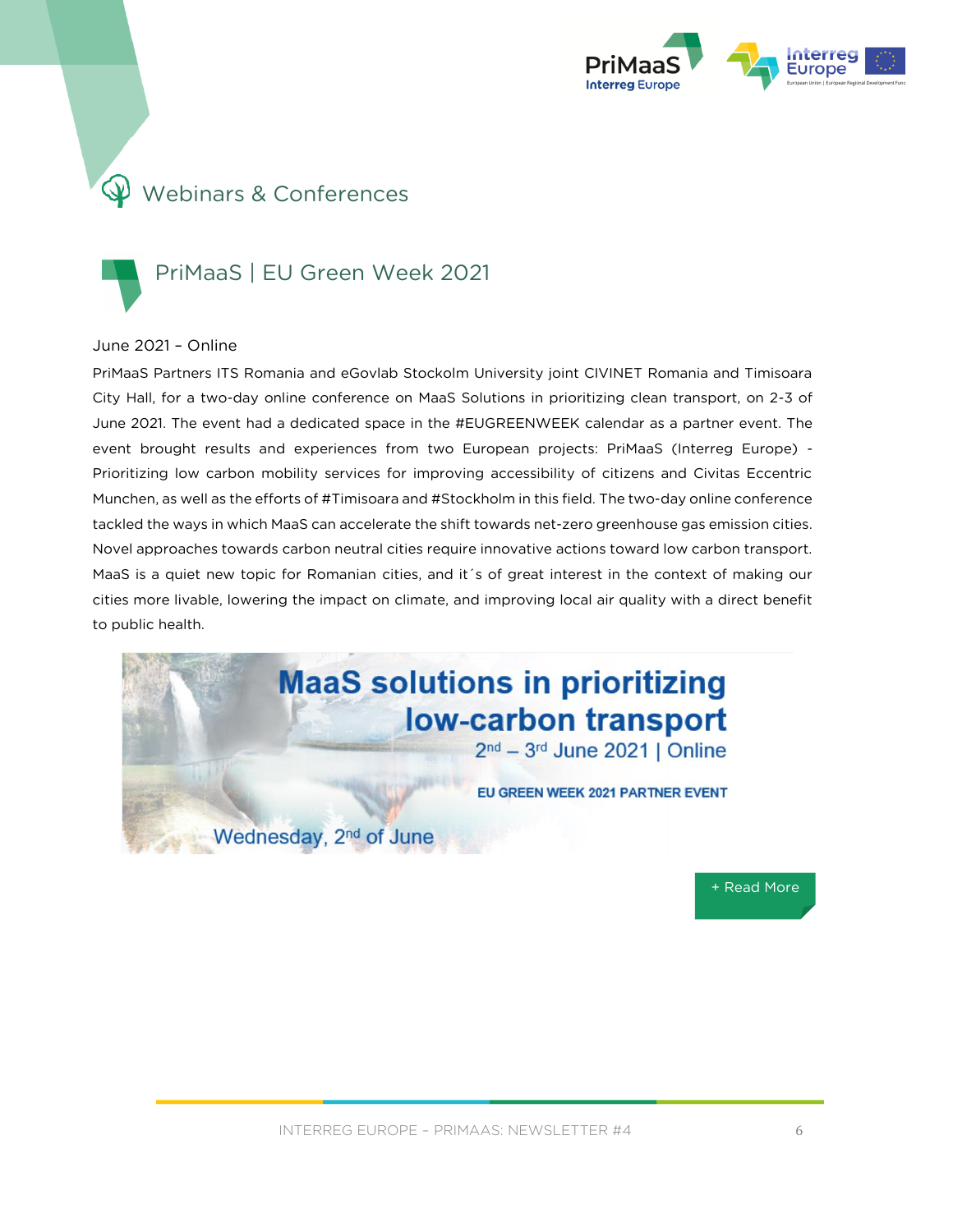

# Webinars & Conferences

### PriMaaS | EU Green Week 2021

#### June 2021 – Online

PriMaaS Partners ITS Romania and eGovlab Stockolm University joint CIVINET Romania and Timisoara City Hall, for a two-day online conference on MaaS Solutions in prioritizing clean transport, on 2-3 of June 2021. The event had a dedicated space in the #EUGREENWEEK calendar as a partner event. The event brought results and experiences from two European projects: PriMaaS (Interreg Europe) - Prioritizing low carbon mobility services for improving accessibility of citizens and Civitas Eccentric Munchen, as well as the efforts of #Timisoara and #Stockholm in this field. The two-day online conference tackled the ways in which MaaS can accelerate the shift towards net-zero greenhouse gas emission cities. Novel approaches towards carbon neutral cities require innovative actions toward low carbon transport. MaaS is a quiet new topic for Romanian cities, and it´s of great interest in the context of making our cities more livable, lowering the impact on climate, and improving local air quality with a direct benefit to public health.





INTERREG EUROPE - PRIMAAS: NEWSLETTER #4 6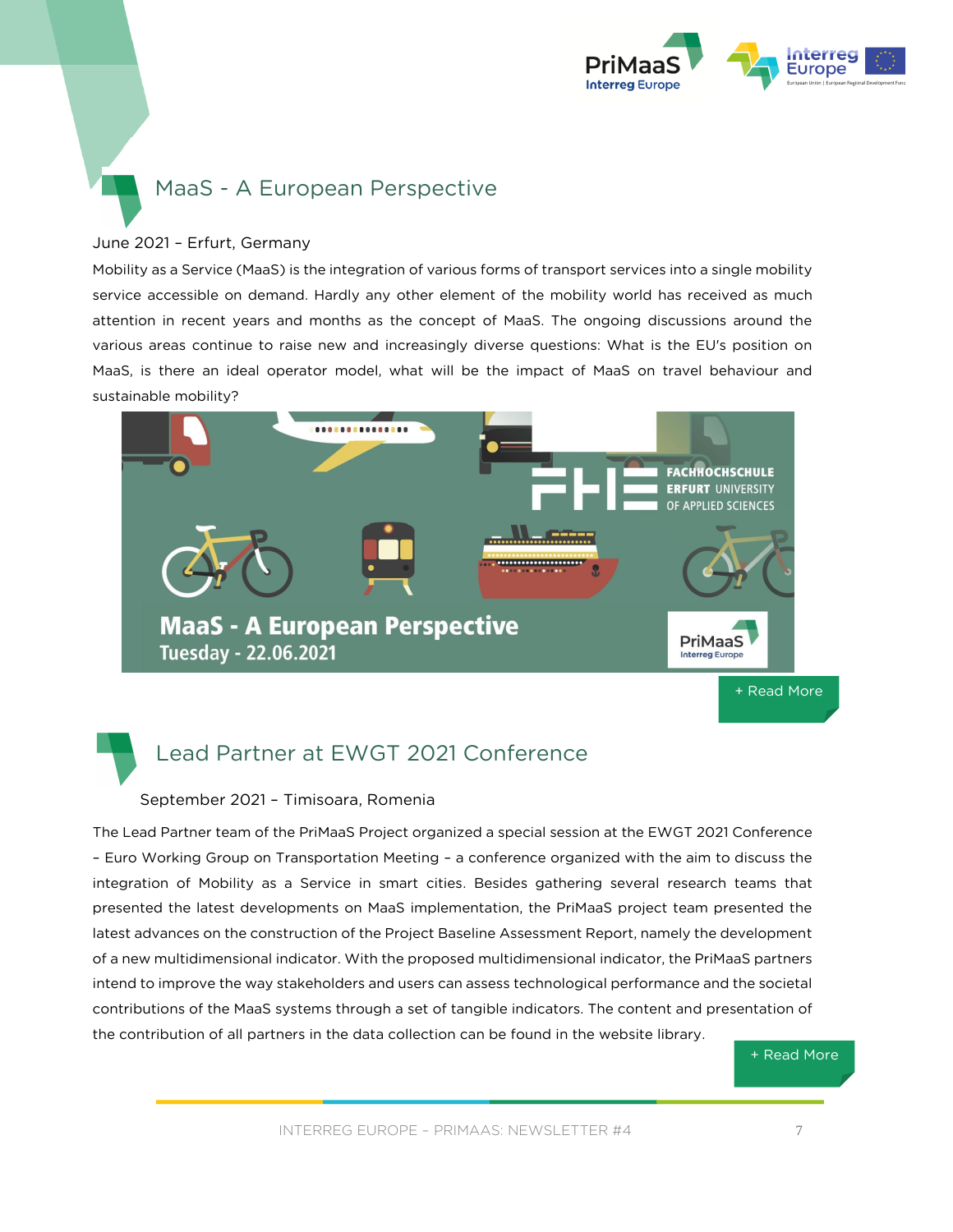

### MaaS - A European Perspective

#### June 2021 – Erfurt, Germany

Mobility as a Service (MaaS) is the integration of various forms of transport services into a single mobility service accessible on demand. Hardly any other element of the mobility world has received as much attention in recent years and months as the concept of MaaS. The ongoing discussions around the various areas continue to raise new and increasingly diverse questions: What is the EU's position on MaaS, is there an ideal operator model, what will be the impact of MaaS on travel behaviour and sustainable mobility?



Lead Partner at EWGT 2021 Conference

#### September 2021 – Timisoara, Romenia

The Lead Partner team of the PriMaaS Project organized a special session at the EWGT 2021 Conference – Euro Working Group on Transportation Meeting – a conference organized with the aim to discuss the integration of Mobility as a Service in smart cities. Besides gathering several research teams that presented the latest developments on MaaS implementation, the PriMaaS project team presented the latest advances on the construction of the Project Baseline Assessment Report, namely the development of a new multidimensional indicator. With the proposed multidimensional indicator, the PriMaaS partners intend to improve the way stakeholders and users can assess technological performance and the societal contributions of the MaaS systems through a set of tangible indicators. The content and presentation of the contribution of all partners in the data collection can be found in the website library.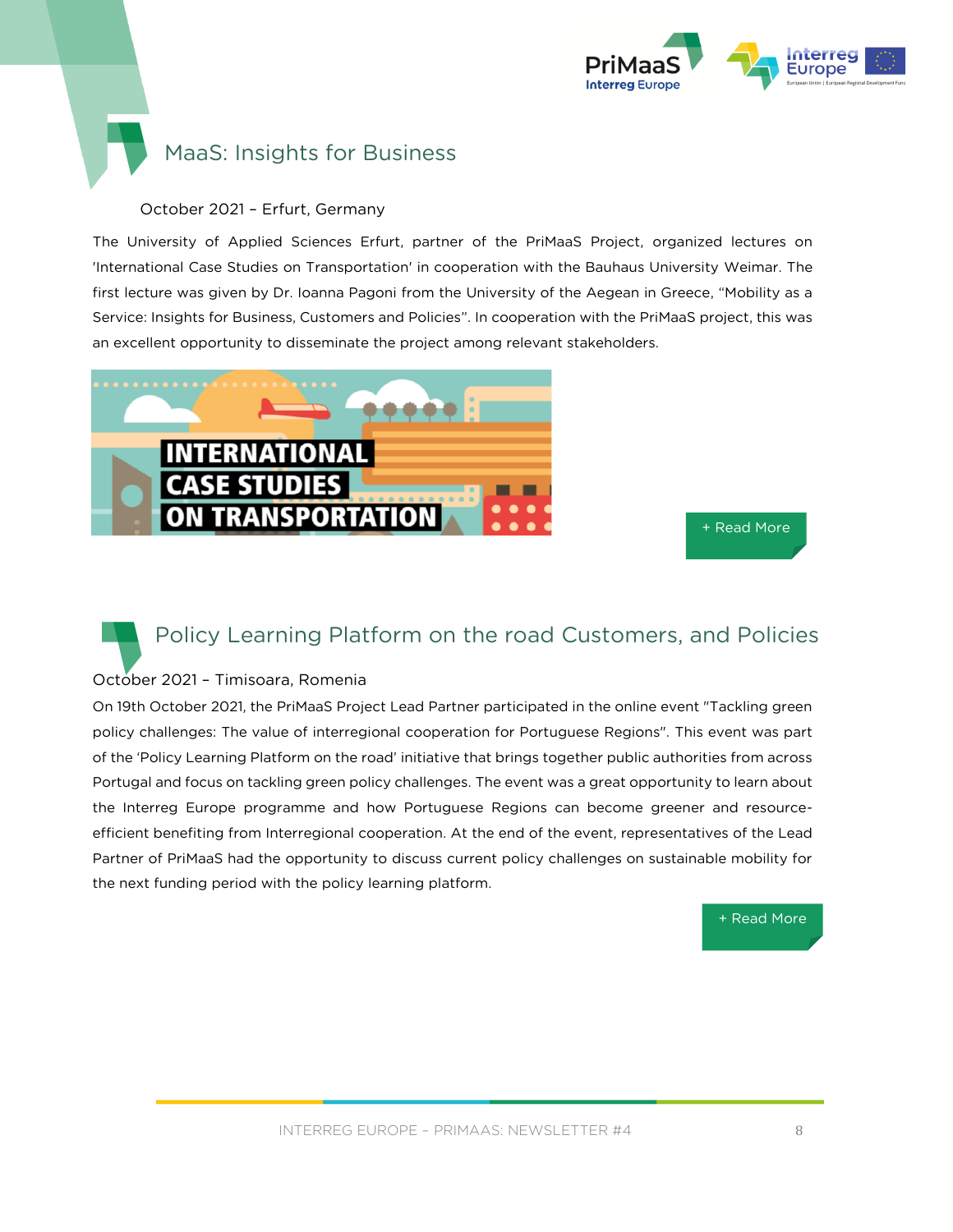

### MaaS: Insights for Business

### October 2021 – Erfurt, Germany

The University of Applied Sciences Erfurt, partner of the PriMaaS Project, organized lectures on 'International Case Studies on Transportation' in cooperation with the Bauhaus University Weimar. The first lecture was given by Dr. Ioanna Pagoni from the University of the Aegean in Greece, "Mobility as a Service: Insights for Business, Customers and Policies". In cooperation with the PriMaaS project, this was an excellent opportunity to disseminate the project among relevant stakeholders.



[+ Read More](https://www.interregeurope.eu/primaas/events/event/4807/maas-insights-for-business-customers-and-policies/)

### Policy Learning Platform on the road Customers, and Policies

### October 2021 – Timisoara, Romenia

On 19th October 2021, the PriMaaS Project Lead Partner participated in the online event "Tackling green policy challenges: The value of interregional cooperation for Portuguese Regions". This event was part of the 'Policy Learning Platform on the road' initiative that brings together public authorities from across Portugal and focus on tackling green policy challenges. The event was a great opportunity to learn about the Interreg Europe programme and how Portuguese Regions can become greener and resourceefficient benefiting from Interregional cooperation. At the end of the event, representatives of the Lead Partner of PriMaaS had the opportunity to discuss current policy challenges on sustainable mobility for the next funding period with the policy learning platform.

[+ Read More](https://www.interregeurope.eu/primaas/news/news-article/13200/policy-learning-platform-on-the-road/)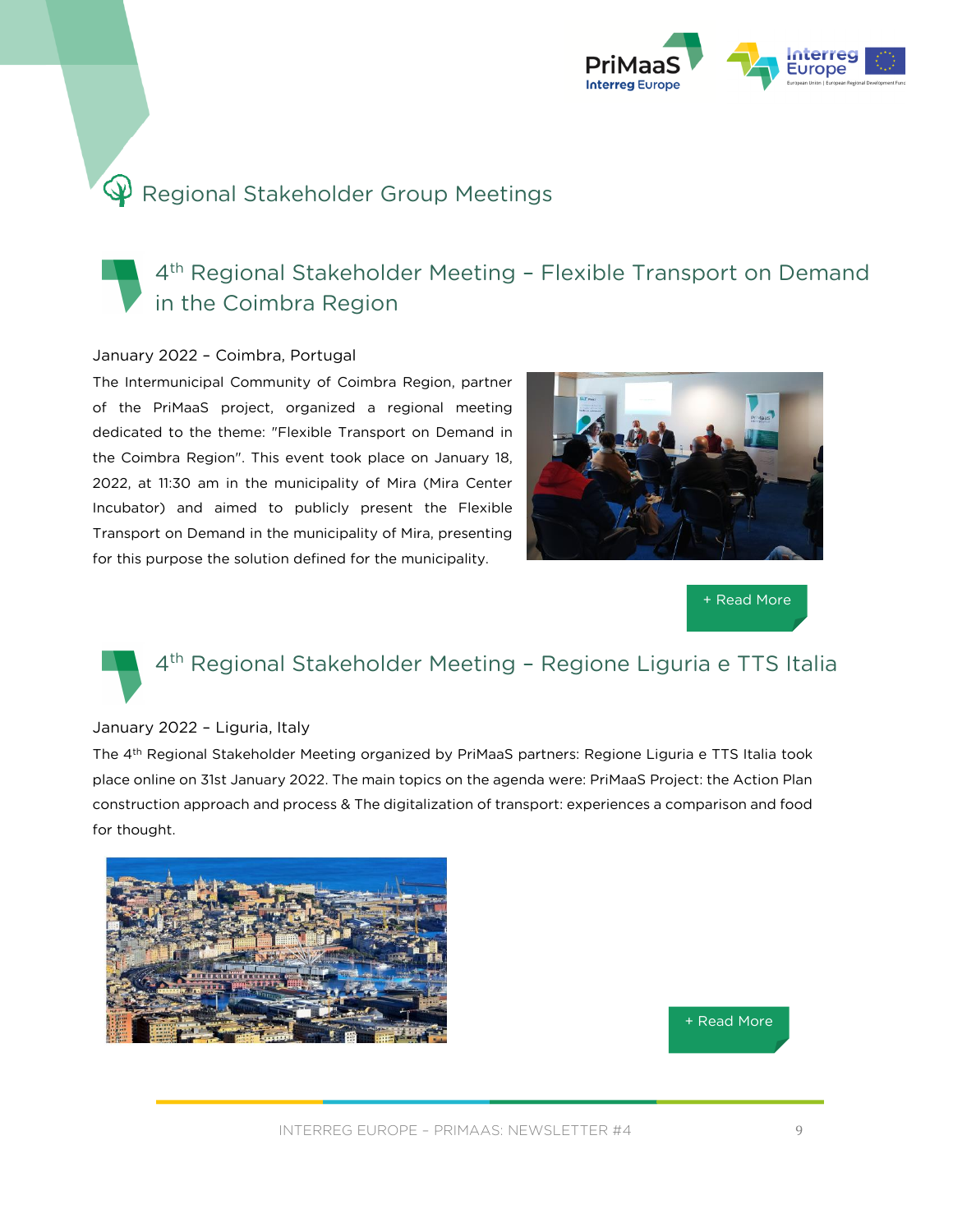![](_page_8_Picture_0.jpeg)

# P Regional Stakeholder Group Meetings

### 4 th Regional Stakeholder Meeting – Flexible Transport on Demand in the Coimbra Region

### January 2022 – Coimbra, Portugal

The Intermunicipal Community of Coimbra Region, partner of the PriMaaS project, organized a regional meeting dedicated to the theme: "Flexible Transport on Demand in the Coimbra Region". This event took place on January 18, 2022, at 11:30 am in the municipality of Mira (Mira Center Incubator) and aimed to publicly present the Flexible Transport on Demand in the municipality of Mira, presenting for this purpose the solution defined for the municipality.

![](_page_8_Picture_5.jpeg)

[+ Read More](https://www.interregeurope.eu/primaas/events/event/5008/flexible-transport-on-demand-in-the-coimbra-region/)

# 4 th Regional Stakeholder Meeting – Regione Ligur[ia e TT](https://www.interregeurope.eu/primaas/news/news-article/12370/interregional-mobility-online-event/)S Italia

#### January 2022 – Liguria, Italy

The 4th Regional Stakeholder Meeting organized by PriMaaS partners: Regione Liguria e TTS Italia took place online on 31st January 2022. The main topics on the agenda were: PriMaaS Project: the Action Plan construction approach and process & The digitalization of transport: experiences a comparison and food for thought.

![](_page_8_Picture_10.jpeg)

![](_page_8_Picture_11.jpeg)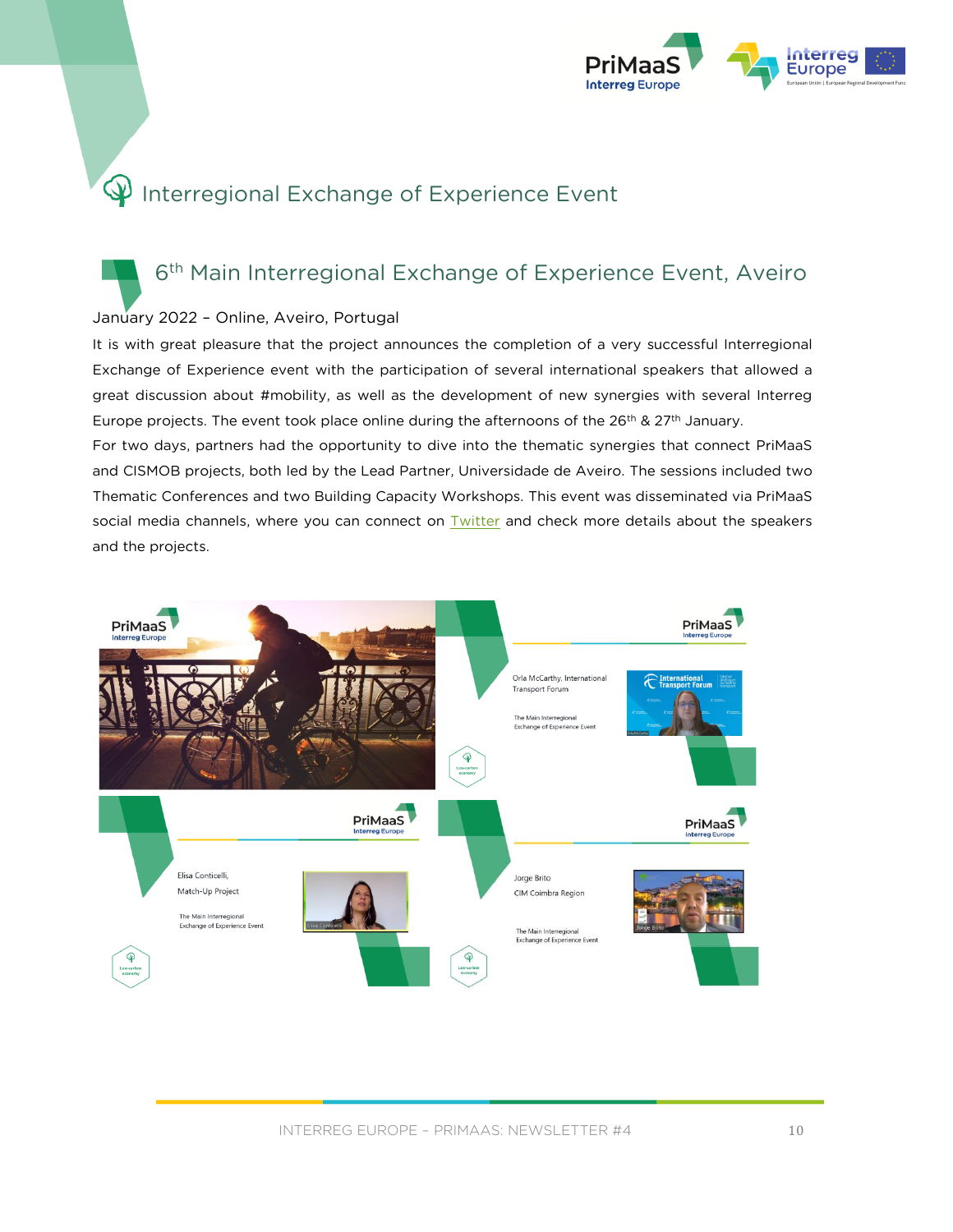![](_page_9_Picture_0.jpeg)

# **P** Interregional Exchange of Experience Event

### 6<sup>th</sup> Main Interregional Exchange of Experience Event, Aveiro

### January 2022 - Online, Aveiro, Portugal

It is with great pleasure that the project announces the completion of a very successful Interregional Exchange of Experience event with the participation of several international speakers that allowed a great discussion about #mobility, as well as the development of new synergies with several Interreg Europe projects. The event took place online during the afternoons of the  $26th$  &  $27th$  January.

For two days, partners had the opportunity to dive into the thematic synergies that connect PriMaaS and CISMOB projects, both led by the Lead Partner, Universidade de Aveiro. The sessions included two Thematic Conferences and two Building Capacity Workshops. This event was disseminated via PriMaaS social media channels, where you can connect on **Twitter** and check more details about the speakers and the projects.

![](_page_9_Picture_6.jpeg)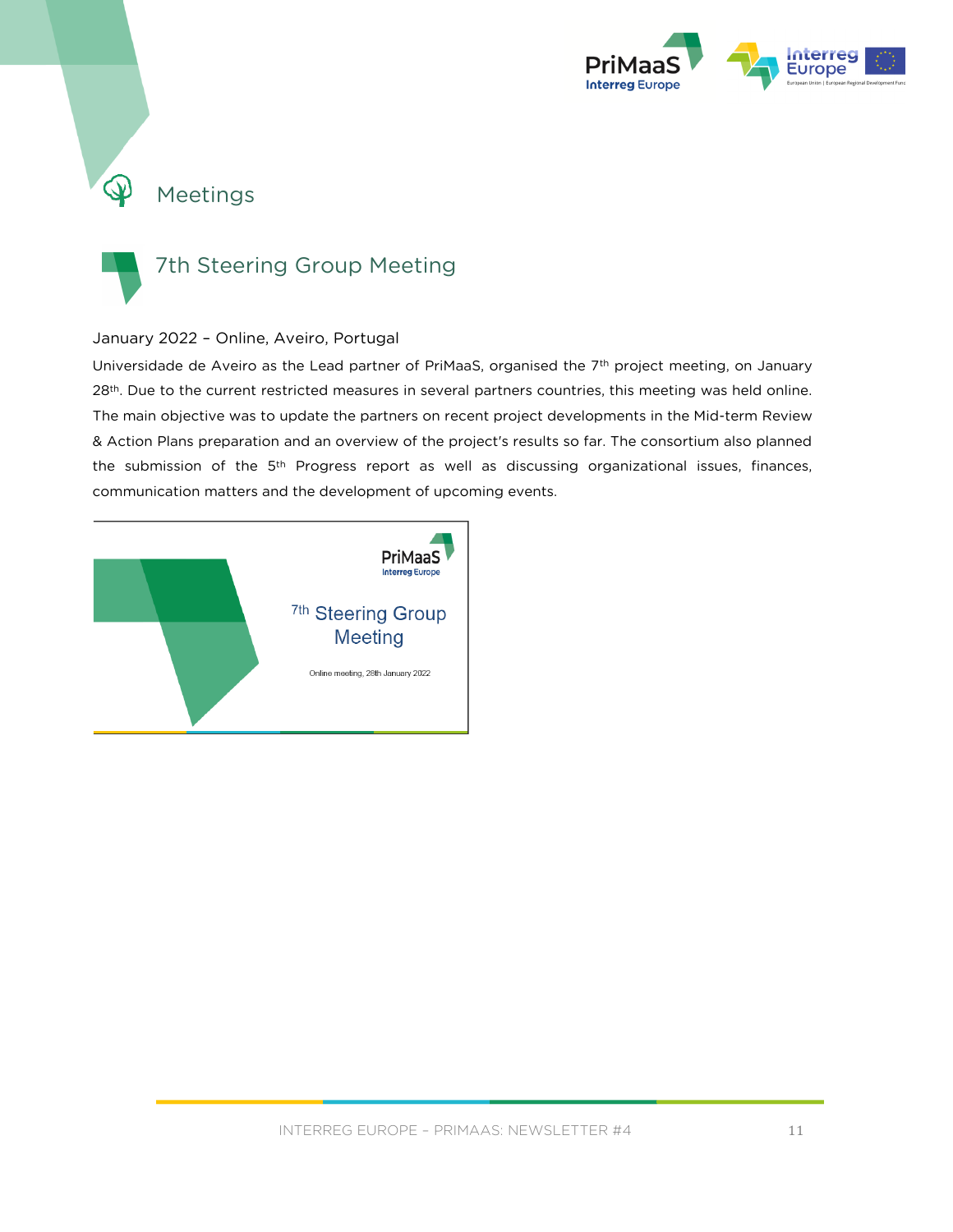![](_page_10_Picture_0.jpeg)

# Meetings

![](_page_10_Picture_2.jpeg)

 $\mathbb{Q}$ 

### 7th Steering Group Meeting

### January 2022 – Online, Aveiro, Portugal

Universidade de Aveiro as the Lead partner of PriMaaS, organised the 7<sup>th</sup> project meeting, on January 28<sup>th</sup>. Due to the current restricted measures in several partners countries, this meeting was held online. The main objective was to update the partners on recent project developments in the Mid-term Review & Action Plans preparation and an overview of the project's results so far. The consortium also planned the submission of the 5th Progress report as well as discussing organizational issues, finances, communication matters and the development of upcoming events.

![](_page_10_Picture_6.jpeg)